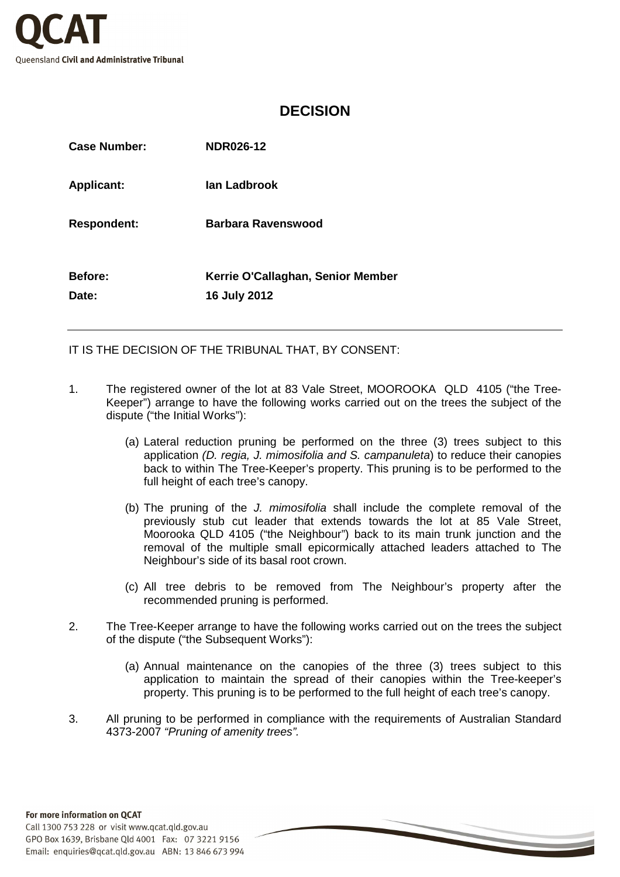

## **DECISION**

| <b>Case Number:</b>     | <b>NDR026-12</b>                                  |
|-------------------------|---------------------------------------------------|
| <b>Applicant:</b>       | lan Ladbrook                                      |
| <b>Respondent:</b>      | <b>Barbara Ravenswood</b>                         |
| <b>Before:</b><br>Date: | Kerrie O'Callaghan, Senior Member<br>16 July 2012 |

IT IS THE DECISION OF THE TRIBUNAL THAT, BY CONSENT:

- 1. The registered owner of the lot at 83 Vale Street, MOOROOKA QLD 4105 ("the Tree-Keeper") arrange to have the following works carried out on the trees the subject of the dispute ("the Initial Works"):
	- (a) Lateral reduction pruning be performed on the three (3) trees subject to this application (D. regia, J. mimosifolia and S. campanuleta) to reduce their canopies back to within The Tree-Keeper's property. This pruning is to be performed to the full height of each tree's canopy.
	- (b) The pruning of the J. mimosifolia shall include the complete removal of the previously stub cut leader that extends towards the lot at 85 Vale Street, Moorooka QLD 4105 ("the Neighbour") back to its main trunk junction and the removal of the multiple small epicormically attached leaders attached to The Neighbour's side of its basal root crown.
	- (c) All tree debris to be removed from The Neighbour's property after the recommended pruning is performed.
- 2. The Tree-Keeper arrange to have the following works carried out on the trees the subject of the dispute ("the Subsequent Works"):
	- (a) Annual maintenance on the canopies of the three (3) trees subject to this application to maintain the spread of their canopies within the Tree-keeper's property. This pruning is to be performed to the full height of each tree's canopy.
- 3. All pruning to be performed in compliance with the requirements of Australian Standard 4373-2007 "Pruning of amenity trees".